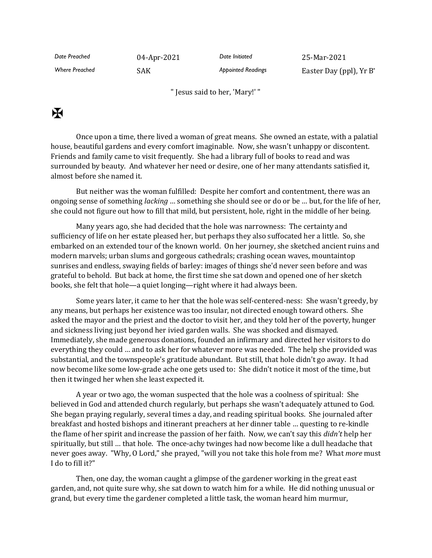*Date Preached* 04-Apr-2021 *Date Initiated* 25-Mar-2021

*Where Preached* SAK *Appointed Readings* Easter Day (ppl), Yr B\*

" Jesus said to her, 'Mary!' "

## $\mathbf K$

Once upon a time, there lived a woman of great means. She owned an estate, with a palatial house, beautiful gardens and every comfort imaginable. Now, she wasn't unhappy or discontent. Friends and family came to visit frequently. She had a library full of books to read and was surrounded by beauty. And whatever her need or desire, one of her many attendants satisfied it, almost before she named it.

But neither was the woman fulfilled: Despite her comfort and contentment, there was an ongoing sense of something *lacking* … something she should see or do or be … but, for the life of her, she could not figure out how to fill that mild, but persistent, hole, right in the middle of her being.

Many years ago, she had decided that the hole was narrowness: The certainty and sufficiency of life on her estate pleased her, but perhaps they also suffocated her a little. So, she embarked on an extended tour of the known world. On her journey, she sketched ancient ruins and modern marvels; urban slums and gorgeous cathedrals; crashing ocean waves, mountaintop sunrises and endless, swaying fields of barley: images of things she'd never seen before and was grateful to behold. But back at home, the first time she sat down and opened one of her sketch books, she felt that hole—a quiet longing—right where it had always been.

Some years later, it came to her that the hole was self-centered-ness: She wasn't greedy, by any means, but perhaps her existence was too insular, not directed enough toward others. She asked the mayor and the priest and the doctor to visit her, and they told her of the poverty, hunger and sickness living just beyond her ivied garden walls. She was shocked and dismayed. Immediately, she made generous donations, founded an infirmary and directed her visitors to do everything they could … and to ask her for whatever more was needed. The help she provided was substantial, and the townspeople's gratitude abundant. But still, that hole didn't go away. It had now become like some low-grade ache one gets used to: She didn't notice it most of the time, but then it twinged her when she least expected it.

A year or two ago, the woman suspected that the hole was a coolness of spiritual: She believed in God and attended church regularly, but perhaps she wasn't adequately attuned to God. She began praying regularly, several times a day, and reading spiritual books. She journaled after breakfast and hosted bishops and itinerant preachers at her dinner table … questing to re-kindle the flame of her spirit and increase the passion of her faith. Now, we can't say this *didn't* help her spiritually, but still … that hole. The once-achy twinges had now become like a dull headache that never goes away. "Why, O Lord," she prayed, "will you not take this hole from me? What *more* must I do to fill it?"

Then, one day, the woman caught a glimpse of the gardener working in the great east garden, and, not quite sure why, she sat down to watch him for a while. He did nothing unusual or grand, but every time the gardener completed a little task, the woman heard him murmur,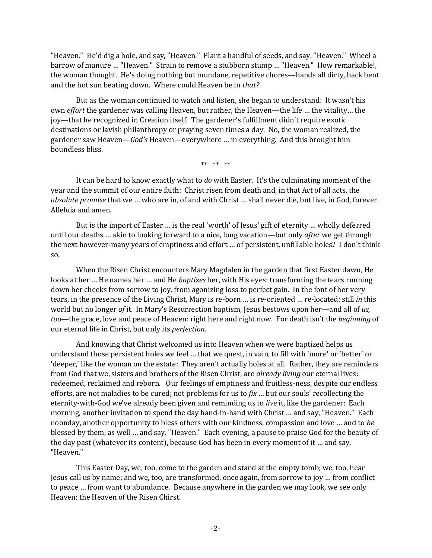"Heaven." He'd dig a hole, and say, "Heaven." Plant a handful of seeds, and say, "Heaven." Wheel a barrow of manure … "Heaven." Strain to remove a stubborn stump … "Heaven." How remarkable!, the woman thought. He's doing nothing but mundane, repetitive chores—hands all dirty, back bent and the hot sun beating down. Where could Heaven be in *that?*

But as the woman continued to watch and listen, she began to understand: It wasn't his own *effort* the gardener was calling Heaven, but rather, the Heaven—the life … the vitality… the joy—that he recognized in Creation itself. The gardener's fulfillment didn't require exotic destinations or lavish philanthropy or praying seven times a day. No, the woman realized, the gardener saw Heaven—*God's* Heaven—everywhere … in everything. And this brought him boundless bliss.

\*\* \*\* \*\*

It can be hard to know exactly what to *do* with Easter. It's the culminating moment of the year and the summit of our entire faith: Christ risen from death and, in that Act of all acts, the *absolute promise* that we … who are in, of and with Christ … shall never die, but live, in God, forever. Alleluia and amen.

But is the import of Easter ... is the real 'worth' of Jesus' gift of eternity ... wholly deferred until our deaths … akin to looking forward to a nice, long vacation—but only *after* we get through the next however-many years of emptiness and effort … of persistent, unfillable holes? I don't think so.

When the Risen Christ encounters Mary Magdalen in the garden that first Easter dawn, He looks at her … He names her … and He *baptizes* her, with His eyes: transforming the tears running down her cheeks from sorrow to joy, from agonizing loss to perfect gain. In the font of her very tears, in the presence of the Living Christ, Mary is re-born … is re-oriented … re-located: still *in* this world but no longer *of* it. In Mary's Resurrection baptism, Jesus bestows upon her—and all of *us, too*—the grace, love and peace of Heaven: right here and right now. For death isn't the *beginning* of our eternal life in Christ, but only its *perfection*.

And knowing that Christ welcomed us into Heaven when we were baptized helps us understand those persistent holes we feel … that we quest, in vain, to fill with 'more' or 'better' or 'deeper,' like the woman on the estate: They aren't actually holes at all. Rather, they are reminders from God that we, sisters and brothers of the Risen Christ, are *already living* our eternal lives: redeemed, reclaimed and reborn. Our feelings of emptiness and fruitless-ness, despite our endless efforts, are not maladies to be cured; not problems for us to *fix* … but our souls' recollecting the eternity-with-God we've already been given and reminding us to *live* it, like the gardener: Each morning, another invitation to spend the day hand-in-hand with Christ … and say, "Heaven." Each noonday, another opportunity to bless others with our kindness, compassion and love … and to *be* blessed by them, as well … and say, "Heaven." Each evening, a pause to praise God for the beauty of the day past (whatever its content), because God has been in every moment of it … and say, "Heaven."

This Easter Day, we, too, come to the garden and stand at the empty tomb; we, too, hear Jesus call us by name; and we, too, are transformed, once again, from sorrow to joy … from conflict to peace … from want to abundance. Because anywhere in the garden we may look, we see only Heaven: the Heaven of the Risen Chirst.